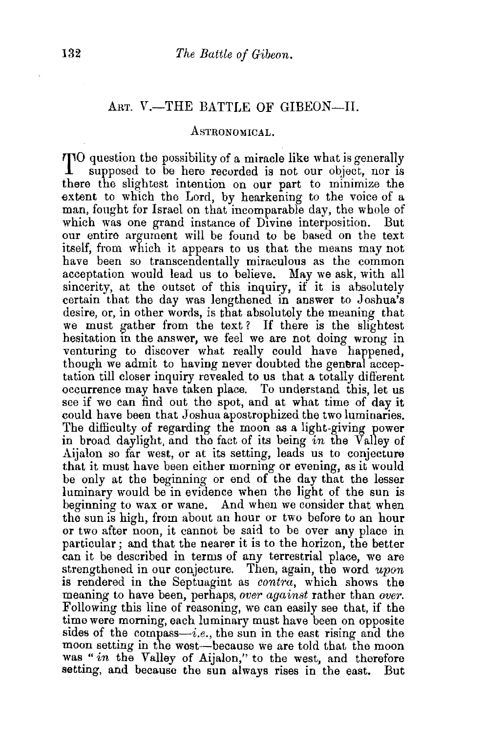## ART. V.-THE BATTLE OF GIBEON-II.

## ASTRONOMICAL.

 $TIO$  question the possibility of a miracle like what is generally supposed to be here recorded is not our object, nor is there the slightest intention on our part to minimize the extent to which the Lord, by hearkening to the voice of a man, fought for Israel on that incomparable day, the whole of which was one grand instance of Divine interposition. But our entire argument will be found to be based on the text itself, from which it appears to us that the means may not have been so transcendentally miraculous as the common acceptation would lead us to believe. May we ask, with all sincerity, at the outset of this inquiry, if it is absolutely certain that the day was lengthened in answer to Joshua's desire, or, in other words, is that absolutely the meaning that we must gather from the text? If there is the slightest hesitation in the answer, we feel we are not doing wrong in venturing to discover what really could have happened, though we admit to having never doubted the general acceptation till closer inquiry revealed to us that a totally different occurrence may have taken place. To understand this, let us see if we can find out the spot, and at what time of day it could have been that Joshua apostrophized the two luminaries. The difficulty of regarding the moon as a light-giving power in broad daylight, and the fact of its being *in* the Valley of Aijalon so far west, or at its setting, leads us to conjecture that it must have been either morning or evening, as it would be only at the beginning or end of the day that the lesser luminary would be in evidence when the light of the sun is beginning to wax or wane. And when we consider that when the sun is high, from about an hour or two before to an hour or two after noon, it cannot be said to be over any place in particular ; and that the nearer it is to the horizon, the better can it be described in terms of any terrestrial place, we are strengthened in our conjecture. Then, again, the word *upon*  is rendered in the Septuagint as *contra,* which shows the meaning to have been, perhaps, *over against* rather than *over.*  Following this line of reasoning, we can easily see that, if the time were morning, each luminary must have been on opposite sides of the compass—i.e., the sun in the east rising and the moon setting in the west-because we are told that the moon was "in the Valley of Aijalon," to the west, and therefore setting, and because the sun always rises in the east. But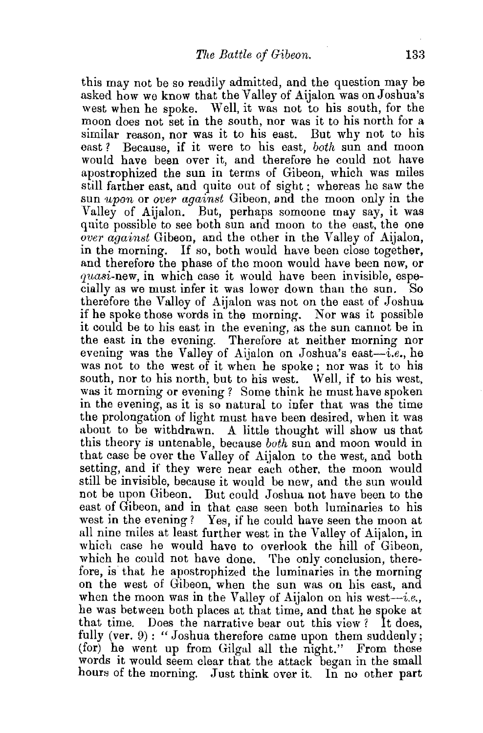this may not be so readily admitted, and the question may be asked how we know that the Valley of Aijalon was on Joshua's west when he spoke. Well, it was not to his south, for the moon does not set in the south, nor was it to his north for a similar reason, nor was it to his east. But why not to his east ? Because, if it were to his east, *both* sun and moon would have been over it, and therefore he could not have apostrophized the sun in terms of Gibeon, which was miles still farther east, and quite out of sight; whereas he saw the sun *upon* or *over against* Gibeon, and the moon only in the Valley of Aijalon. But, perhaps someone may say, it was quite possible to see both sun and moon to the east, the one *over against* Gibeon, and the other in the Valley of Aijalon, in the morning. If so, both would have been close together, and therefore the phase of the moon would have been new, or quasi-new, in which case it would have been invisible, especially as we must infer it was lower down than the sun. So therefore the Valley of Aijalon was not on the east of Joshua if he spoke those words in the morning. Nor was it possible it could be to his east in the evening, as the sun cannot be in the east in the evening. Therefore at neither morning nor evening was the Valley of Aijalon on Joshua's east-i.e., he was not to the west of it when be spoke ; nor was it to his south, nor to his north, but to his west. Well, if to his west, was it morning or evening ? Some think he must have spoken in the evening, as it is so natural to infer that was the time the prolongation of light must have been desired, when it was about to be withdrawn. A little thought will show us that this theory *is* untenable, because *both* sun and moon would in that case be over the Valley of Aijalon to the west, and both setting, and if they were near each other, the moon would still be invisible, because it would be new, and the sun would not be upon Gibeon. But could Joshua not have been to the east of Gibeon, and in that case seen both luminaries to his west in the evening? Yes, if he could have seen the moon at all nine miles at least further west in the Valley of Aijalon, in which case he would have to overlook the hill of Gibeon, which he could not have done. The only conclusion, therefore, is that he apostrophized the luminaries in the morning on the west of Gibeon, when the sun was on his east, and when the moon was in the Valley of Aijalon on his west-i.e., he was between both places at that time, and that he spoke at that time. Does the narrative bear out this view? It does, fully (ver.  $9$ ): "Joshua therefore came upon them suddenly; (for) he went up from Gilgal all the night." From these words it would seem clear that the attack began in the small hours of the morning. Just think over it. In no other part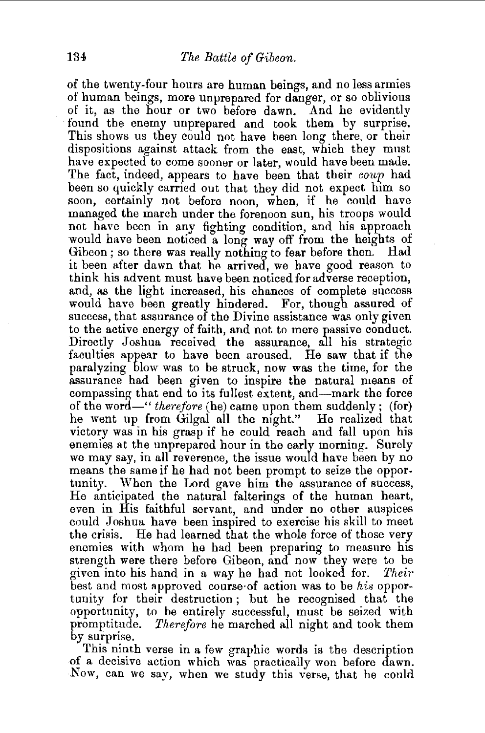of the twenty-four hours are human beings, and no less armies of human beings, more unprepared for danger, or so oblivious of it, as the hour or two before dawn. And he evidently ·found the enemy unprepared and took them by surprise. This shows us they could not have been long there, or their dispositions against attack from the east, which they must have expected to come sooner or later, would have been made. The fact, indeed, appears to have been that their  $coup$  had been so quickly carried out that they did not expect him so soon, certainly not before noon, when, if he could have managed the march under the forenoon sun, his troops would not have been in any fighting condition, and his approach would have been noticed a long way off from the heights of Gibeon; so there was really nothing to fear before then. Had it been after dawn that he arrived, we have good reason to think his advent must have been noticed for adverse reception, and, as the light increased, his chances of complete success would have been greatly hindered. For, though assured of success, that assurance of the Divine assistance was only given to the active energy of faith, and not to mere passive conduct. Directly Joshua received the assurance, all his strategic faculties appear to have been aroused. He saw that if the paralyzing blow was to be struck, now was the time, for the assurance had been given to inspire the natural means of compassing that end to its fullest extent, and—mark the force of the word-" *therefore* (he) came upon them suddenly; (for) he went up from Gilgal all the night." He realized that victory was in his grasp if he could reach and fall upon his enemies at the unprepared hour in the early morning. Surely we may say, in all reverence, the issue would have been by no means the same if he had not been prompt to seize the opportunity. When the Lord gave him the assurance of success, He anticipated the natural falterings of the human heart, even in His faithful servant, and under no other auspices could Joshua have been inspired to exercise his skill to meet the crisis. He had learned that the whole force of those very enemies with whom he had been preparing to measure his strength were there before Gibeon, and now they were to be given into his hand in a way he had not looked for. *Their*  best and most approved course of action was to be *his* opportunity for their destruction ; but he recognised that the opportunity, to be entirely successful, must be seized with promptitude. *Therefore* he marched all night and took them by surprise.

This ninth verse in a few graphic words is the description of a decisive action which was practically won before dawn. Now, can we say, when we study this verse, that he could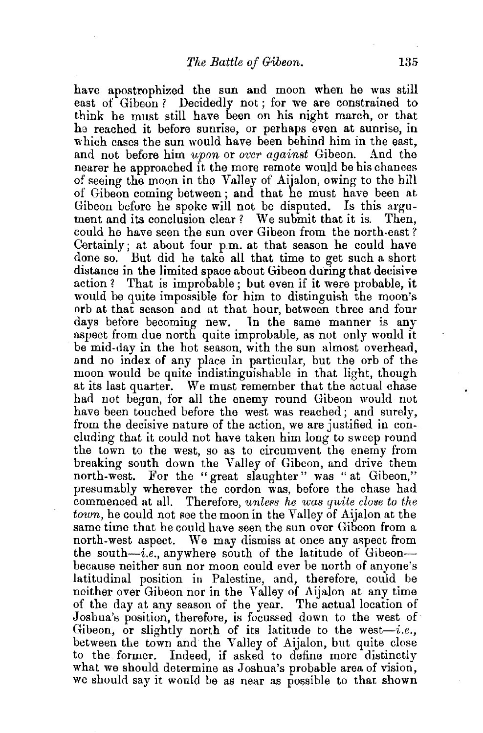have apostrophized the sun and moon when he was still east of Gibeon? Decidedly not; for we are constrained to think he must still have been on his night march, or that he reached it before sunrise, or perhaps even at sunrise, in which cases the sun would have been behind him in the east. and not before him *upon* or *over against* Gibeon. And the nearer he approached it the more remote would be his chances of seeing the moon in the Valley of Aijalon, owing to the hiJl of Gibeon coming between; and that he must have been at Gibeon before he spoke will not be disputed. Is this argument and its conclusion clear? We submit that it is. Then, could he have seen the sun over Gibeon from the north-east ? Certainly; at about four p.m. at that season he could have done so. But did he take all that time to get such a short distance in the limited space about Gibeon during that decisive action ? That is improbable ; but even if it were probable, it would be quite impossible for him to distinguish the moon's orb at that season and at that hour, between three and four days before becoming new. In the same manner is any aspect from due north quite improbable, as not only would it be mid-day in the hot season, with the sun almost overhead, and no index of any place in particular, but the orb of the moon would be quite indistinguishable in that light, though at its last quarter. We must remember that the actual chase had not begun, for all the enemy round Gibeon would not. have been touched before the west was reached; and surely, from the decisive nature of the action, we are justified in concluding that it could not have taken him long to sweep round the town to the west, so as to circumvent the enemy from breaking south down the Valley of Gibeon, and drive them north-west. For the "great slaughter" was "at Gibeon," presumably wherever the cordon was, before the chase had commenced at all. Therefore, *unless he was quite close to the town*, he could not see the moon in the Valley of Aijalon at the same time that he could have seen the sun over Gibeon from a north-west aspect. We may dismiss at once any aspect from the south $-i.e.$ , anywhere south of the latitude of Gibeon-bccause neither sun nor moon could ever be north of anyone's latitudinal position in Palestine, and, therefore, could be neither over Gibeon nor in the Valley of Aijalon at any time of the day at any season of the year. The actual location of Joshua's position, therefore, is focussed down to the west of Gibeon, or slightly north of its latitude to the west-i.e., between the town and the Valley of Aijalon, but quite close to the former. Indeed, if asked to define more distinctly what we should determine as Joshua's probable area of vision, we should say it would be as near as possible to that shown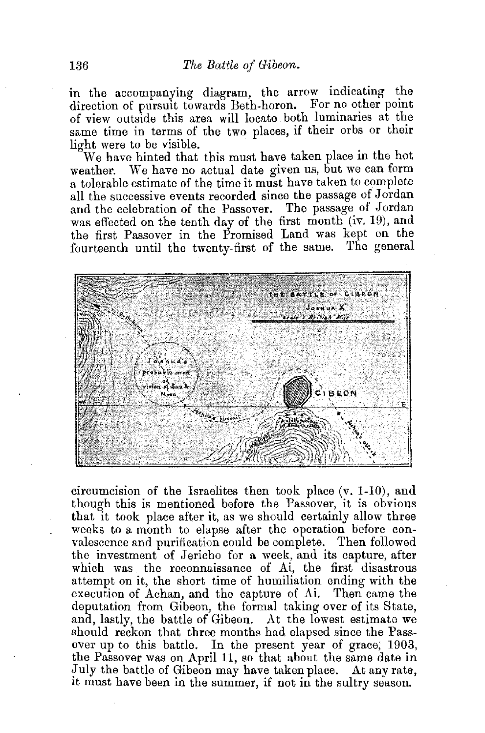in the accompanying diagram, the arrow indicating the direction of pursuit towards Beth-horon. For no other point of view outside this area will locate both luminaries at the same time in terms of the two places, if their orbs or their light were to be visible.

We have hinted that this must have taken place in the hot weather. We have no actual date given us, but we can form We have no actual date given us, but we can form a tolerable estimate of the time it must have taken to complete all the successive events recorded since the passage of Jordan and the celebration of the Passover. The passage of Jordan was effected on the tenth day of the first month (iv. 19), and the first Passover in the Promised Land was kept on the fourteenth until the twenty-first of the same. The general



circumcision of the Israelites then took place  $(v, 1-10)$ , and though this is mentioned before the Passover, it is obvious that it took place after it, as we should certainly allow three weeks to a month to elapse after the operation before convalescence and purification could be complete. Then followed the investment of Jericho for a week, and its capture, after which was the reconnaissance of Ai, the first disastrous attempt on it, the short time of humiliation ending with the execution of Achan, and the capture of Ai. Then came the deputation from Gibeon, the formal taking over of its State, and, lastly, the battle of Gibeon. At the lowest estimate we should reckon that three months had elapsed since the Passover up to this battle. In the present year of grace; 1903, the Passover was on April 11, so that about the same date in July the battle of Gibeon may have taken place. At any rate, It must have been in the summer, if not in the sultry season.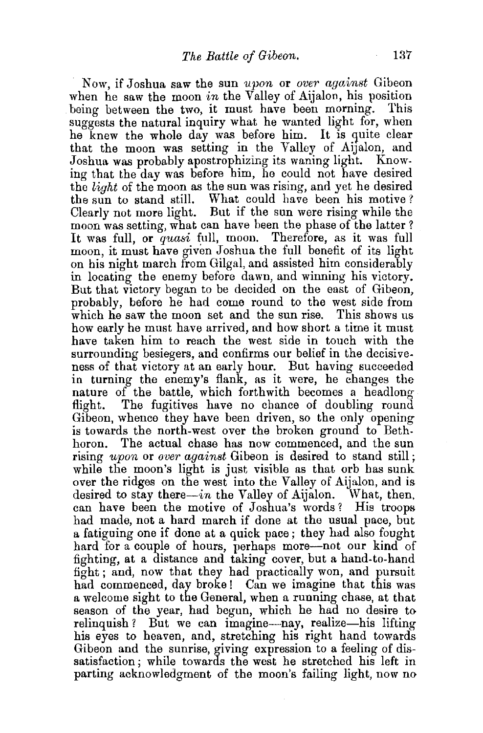Now, if Joshua saw the sun *u.pon* or *over against* Gibeon when he saw the moon *in* the Valley of Aijalon, his position being between the two, it must have been morning. This suggests the natural inquiry what he wanted light for, when he knew the whole day was before him. It is quite clear that the moon was setting in the Valley of Aijalon, and Joshua was probably apostrophizing its waning light. Know-Joshua was probably apostrophizing its waning light. ing that the day was before him, he could not have desired the *light* of the moon as the sun was rising, and yet he desired the sun to stand still. What could have been his motive? Clearly not more light. But if the sun were rising while the moon was setting, what can have been the phase of the latter? It was full, or quasi full, moon. Therefore, as it was full moon, it must have given Joshua the full benefit of its light on his night march from Gilgal, and assisted him considerably in locating the enemy before dawn, and winning his victory. But that victory began to be decided on the east of Gibeon, probably, before he had come round to the west side from which he saw the moon set and the sun rise. This shows us how early he must have arrived, and how short a time it must have taken him to reach the west side in touch with the surrounding besiegers, and confirms our belief in the decisiveness of that victory at an early hour. But having succeeded in turning the enemy's flank, as it were, he changes the nature of the battle, which forthwith becomes a headlong flight. The fugitives have no chance of doubling round Gibeon, whence they have been driven, so the only opening is towards the north-west over the broken ground to Bethboron. The actual chase has now commenced, and the sun rising *upon* or *over against* Gibeon is desired to stand still: while the moon's light is just visible as that orb has sunk over the ridges on the west into the Valley of Aijalon, and is desired to stay there—in the Valley of Aijalon. What, then, can have been the motive of Joshua's words? His troops had made, not a hard march if done at the usual pace, but a fatiguing one if done at a quick pace; they had also fought hard for a couple of hours, perhaps more-not our kind of fighting, at a distance and taking cover, but a hand-to-hand fight; and, now that they had practically won, and pursuit had commenced, day broke! Can we imagine that this was a welcome sight to the General, when a running chase, at that season of the year, had begun, which he had no desire to relinquish? But we can imagine-nay, realize-his lifting his eyes to heaven, and, stretching his right hand towards Gibeon and the sunrise, giving expression to a feeling of dissatisfaction; while towards the west he stretched his left in parting acknowledgment of the moon's failing light, now no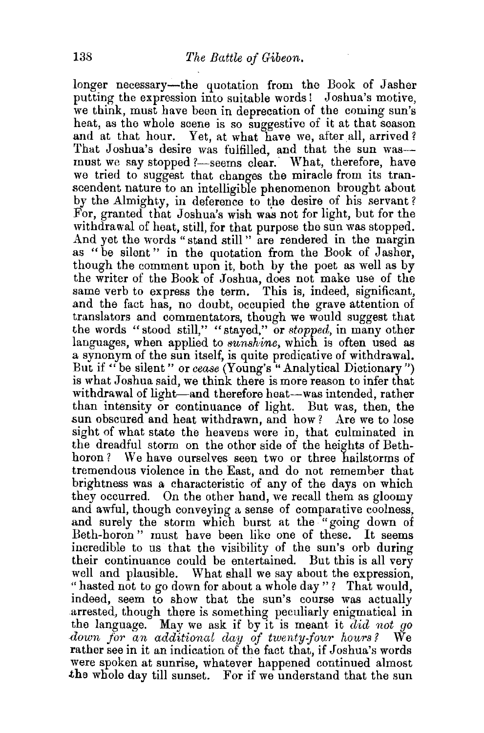longer necessary-the quotation from the Book of Jasher putting the expression into suitable words ! Joshua's motive, we think, must have been in deprecation of the coming sun's heat, as the whole scene is so suggestive of it at that season and at that hour. Yet, at what have we, after all, arrived? That Joshua's desire was fulfilled, and that the sun wasmust we say stopped ?-seems clear. What, therefore, have we tried to suggest that changes the miracle from its transcendent nature to an intelligible phenomenon brought about by the Almighty, in deference to the desire of his servant? For, granted that Joshua's wish was not for light, but for the withdrawal of heat, still, for that purpose the sun was stopped. And yet the words " stand still " are rendered in the margin as "be silent" in the quotation from the Book of Jasher, though the comment upon it, both by the poet as well as by the writer of the Book of Joshua, does not make use of the same verb to express the term. This is, indeed, significant, and the fact has, no doubt, occupied the grave attention of translators and commentators, though we would suggest that the words "stood still," "stayed," or *stopped,* in many other languages, when applied to *sunshine*, which is often used as a synonym of the sun itself, is quite predicative of withdrawal. But if " be silent" or *cease* (Young's "Analytical Dictionary") is what Joshua said, we think there is more reason to infer that withdrawal of light-and therefore heat-was intended, rather than intensity or continuance of light. But was, then, the sun obscured and heat withdrawn, and how? Are we to lose sight of what state the heavens were in, that culminated in the dreadful storm on the other side of the heights of Bethboron? We have ourselves seen two or three hailstorms of tremendous violence in the East, and do not remember that brightness was a characteristic of any of the days on which they occurred. On the other band, we recall them as gloomy and awful, though conveying a sense of comparative coolness, and surely the storm which burst at the "going down of Beth-horon" must have been like one of these. It seems incredible to us that the visibility of the sun's orb during their continuance could be entertained. But this is all very well and plausible. What shall we say about the expression, "hasted not to go down for about a whole day" ? That would, indeed, seem to show that the sun's course was actually arrested, though there is something peculiarly enigmatical in the language. May we ask if by it is meant it *did not go down for an additional clay of twenty-four hours?* We rather see in it an indication of the fact that, if Joshua's words were spoken at sunrise, whatever happened continued almost the whole day till sunset. For if we understand that the sun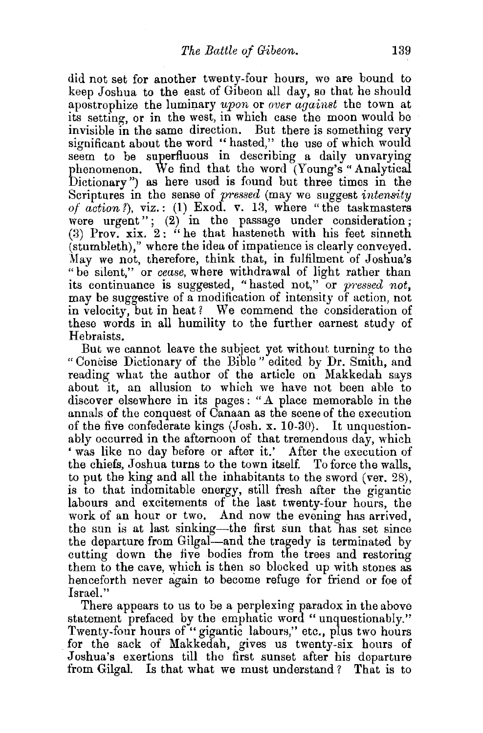did not set for another twenty-four hours, we are bound to keep Joshua to the east of Gibeon all day, so that he should apostrophize the luminary *upon* or *over against* the town at its setting, or in the west, in which case the moon would be invisible in the same direction. But there is something very significant about the word "hasted," the use of which would seem to be superfluous in describing a daily unvarying phenomenon. We find that the word (Young's "Analytical Dictionary") as here used is found but three times in the Scriptures in the sense of *pressed* (may we suggest *intensity of*  $action$ *?*),  $viz.$ : (1) Exod. v. 13, where "the taskmasters were urgent"; (2) in the passage under consideration: (3) Prov. xix.  $2:$  "he that hasteneth with his feet sinneth (stumbleth)," where the idea of impatience is clearly conveyed. May we not, therefore, think that, in fulfilment of Joshua's "be silent," or *cease,* where withdrawal of light rather than its continuance is suggested, "hasted not," or *pnssed not,*  may be suggestive of a modification of intensity of action, not in velocity, but in heat? We commend the consideration of these words in all humility to the further earnest study of Hebraists.

But we cannot leave the subject yet without turning to the "Concise Dictionary of the Bible" edited by Dr. Smith, and reading what the author of the article on Makkedah says about it, an allusion to which we have not been able to discover elsewhere in its pages: "A place memorable in the annals of the conquest of Canaan as the scene of the execution of the five confederate kings (Josh. x. 10-30). It unquestionably occurred in the afternoon of that tremendous day, which ' was like no day before or after it.' After the execution of the chiefs, Joshua turns to the town itself. To force the walls, to put the king and all the inhabitants to the sword (ver. 28), is to that indomitable energy, still fresh after the gigantic labours and excitements of the last twenty-four hours, the work of an hour or two. And now the evening has arrived, the sun is at last sinking-the first sun that has set since the departure from Gilgal-and the tragedy is terminated by cutting down the five bodies from the trees and restoring them to the cave, which is then so blocked up with stones as henceforth never again to become refuge for friend or foe of Israel."

There appears to us to be a perplexing paradox in the above statement prefaced by the emphatic word "unquestionably."<br>Twenty-four hours of "gigantic labours," etc., plus two hours for the sack of Makkedah, gives us twenty-six hours of Joshua's exertions till the first sunset after his departure from Gilgal. Is that what we must understand? That is to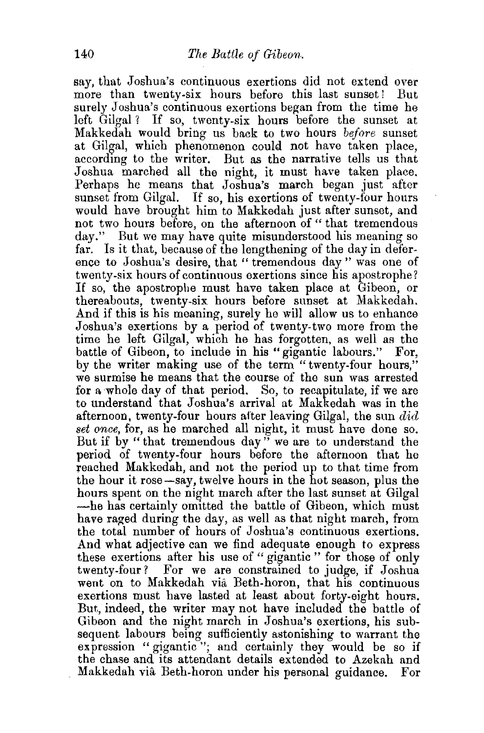say, that Joshua's continuous exertions did not extend over more than twenty-six hours before this last sunset! But surely Joshua's continuous exertions began from the time he left Gilgal? If so, twenty-six hours before the sunset at Makkedah would bring us back to two hours *before* sunset at Gilgal, which phenomenon could not have taken place, according to the writer. But as the narrative tells us that Joshua marched all the night, it must have taken place. Perhaps he means that Joshua's march began just after sunset from Gilgal. If so, his exertions of twenty-four hours would have brought him to Makkedah just after sunset, and not two hours before, on the afternoon of " that tremendous day." But we may have quite misunderstood his meaning so far. Is it that, because of the lengthening of the day in deference to Joshua's desire, that "tremendous day" was one of twenty-six hours of continuous exertions since his apostrophe? If so, the apostrophe must have taken place at Gibeon, or thereabouts, twenty-six hours before sunset at Makkedah. And if this is his meaning, surely he will allow us to enhance Joshua's exertions by a period of twenty-two more from the time he left Gilgal, which he has forgotten, as well as the battle of Gibeon, to include in his "gigantic labours." For, by the writer making use of the term "twenty-four hours," we surmise he means that the course of the sun was arrested for a whole day of that period. So, to recapitulate, if we are to understand that Joshua's arrival at Makkedah was in the afternoon, twenty-four hours after leaving Gilgal, the sun  $did$ *set once,* for, as he marched all night, it must have done so. But if by " that tremendous day" we are to understand the period of twenty-four hours before the afternoon that he reached Makkedah, and not the period up to that time from the hour it rose-say, twelve hours in the hot season, plus the hours spent on the night march after the last sunset at Gilgal -he has certainly omitted the battle of Gibeon, which must have raged during the day, as well as that night march, from the total number of hours of Joshua's continuous exertions. And what adjective can we find adequate enough to express these exertions after his use of " gigantic " for those of only twenty-four? For we are constrained to judge, if Joshua went on to Makkedah via Beth-horon, that his continuous exertions must have lasted at least about forty-eight hours. But, indeed, the writer may not have included the battle of Gibeon and the night march in Joshua's exertions, his subsequent labours being sufficiently astonishing to warrant the expression "gigantic"; and certainly they would be so if the chase and its attendant details extended to Azekah and Makkedah via Beth-boron under his personal guidance. For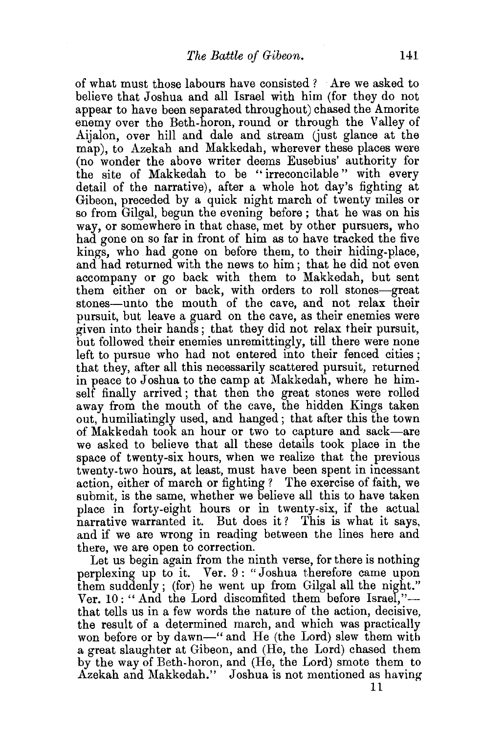of what must those labours have consisted ? Are we asked to believe that Joshua and all Israel with him (for they do not appear to have been separated throughout) chased the Amorite enemy over the Beth-horon, round or through the Valley of Aijalon, over hill and dale and stream (just glance at the map), to Azekah and Makkedah, wherever these places were (no wonder the above writer deems Eusebius' authority for the site of Makkedah to be " irreconcilable" with every detail of the narrative), after a whole hot day's fighting at Gibeon, preceded by a quick night march of twenty miles or so from Gilgal, begun the evening before ; that he was on his way, or somewhere in that chase, met by other pursuers, who had gone on so far in front of him as to have tracked the five kings, who had gone on before them, to their hiding-place, and had returned with the news to him ; that he did not even accompany or go back with them to Makkedah, but sent them either on or back, with orders to roll stones-great stones-unto the mouth of the cave, and not relax their pursuit, but leave a guard on the cave, as their enemies were given into their hands; that they did not relax their pursuit, but followed their enemies unremittingly, till there were none left to pursue who had not entered into their fenced cities ; that they, after all this necessarily scattered pursuit, returned in peace to Joshua to the camp at Makkedah, where he himself finally arrived; that then the great stones were rolled away from the mouth of the cave, the hidden Kings taken out, humiliatingly used, and hanged; that after this the town of Makkedah took an hour or two to capture and sack-are we asked to believe that all these details took place in the space of twenty-six hours, when we realize that the previous twenty-two hours, at least, must have been spent in incessant action, either of march or fighting ? The exercise of faith, we submit, is the same, whether we believe all this to have taken place in forty-eight hours or in twenty-six, if the actual narrative warranted it. But does it? This is what it says, and if we are wrong in reading between the lines here and there, we are open to correction.

Let us begin again from the ninth verse, for there is nothing perplexing up to it. Ver. 9: "Joshua therefore came upon them suddenly; (for) he went up from Gilgal all the night." Ver. 10: "And the Lord discomfited them before Israel,"that tells us in a few words the nature of the action, decisive, the result of a determined march, and which was practically won before or by dawn-" and He (the Lord) slew them with a great slaughter at Gibeon, and (He, the Lord) chased them by the way of Beth-boron, and (He, the Lord) smote them to Azekah and Makkedah." Joshua is not mentioned as having

11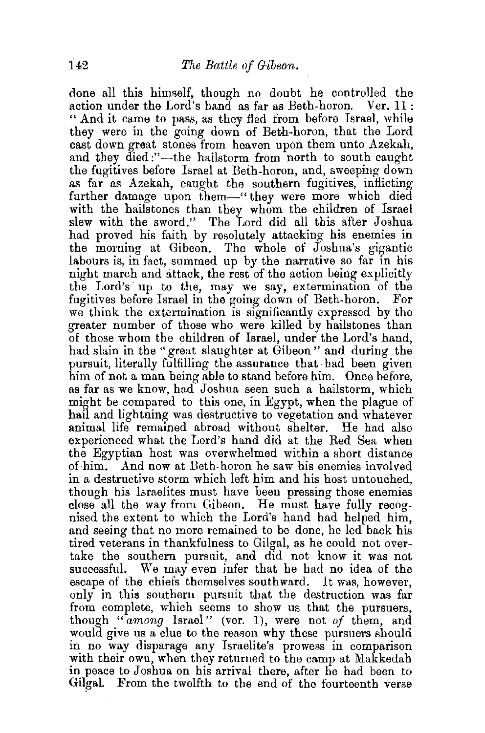done all this himself, though no doubt he controlled the action under the Lord's hand as far as Beth-horon. Ver. 11: " And it came to pass, as they fled from before Israel, while they were in the going down of Beth-boron, that the Lord cast down great stones from heaven upon them unto Azekah, and they died :"—the hailstorm from north to south caught the fugitives before Israel at Beth-boron, and, sweeping down as far as Azekah, caught the southern fugitives, inflicting further damage upon them—" they were more which died with the hailstones than they whom the children of Israel slew with the sword." The Lord did all this after Joshua had proved his faith by resolutely attacking his enemies in the morning at Gibeon. The whole of Joshua's gigantic labours is, in fact, summed up by the narrative so far in his night march and attack, the rest of the action being explicitly the Lord's up to the, may we say, extermination of the fugitives before Israel in the going down of Beth-boron. For we think the extermination is significantly expressed by the greater number of those who were killed by hailstones than of those whom the children of Israel, under the Lord's hand, had slain in the "great slaughter at Gibeon" and during the pursuit, literally fulfilling the assurance that had been given him of not a man being able to stand before him. Once before, as far as we know, had Joshua seen such a hailstorm, which might be compared to this one, in Egypt, when the plague of hail and lightning was destructive to vegetation and whatever animal life remained abroad without shelter. He had also experienced what the Lord's hand did at the Red Sea when the Egyptian host was overwhelmed within a short distance of him. And now at Beth-boron he saw his enemies involved in a destructive storm which left him and his host untouched, though his Israelites must have been pressing those enemies close all the way from Gibeon. He must have fully recognised the extent to which the Lord's hand had helped him, and seeing that no more remained to be done, he led back his tired veterans in thankfulness to Gilgal, as he could not overtake the southern pursuit, and did not know it was not successful. We may even infer that he had no idea of the escape of the chiefs themselves southward. It was, however, only in this southern pursuit that the destruction was far from complete, which seems to show us that the pursuers, though *"among* Israel" (ver. 1), were not *of* them, and would give us a clue to the reason why these pursuers should in no way disparage any Israelite's prowess in comparison with their own, when they returned to the camp at Makkedah in peace to Joshua on his arrival there, after he had been to Gilgal. From the twelfth to the end of the fourteenth verse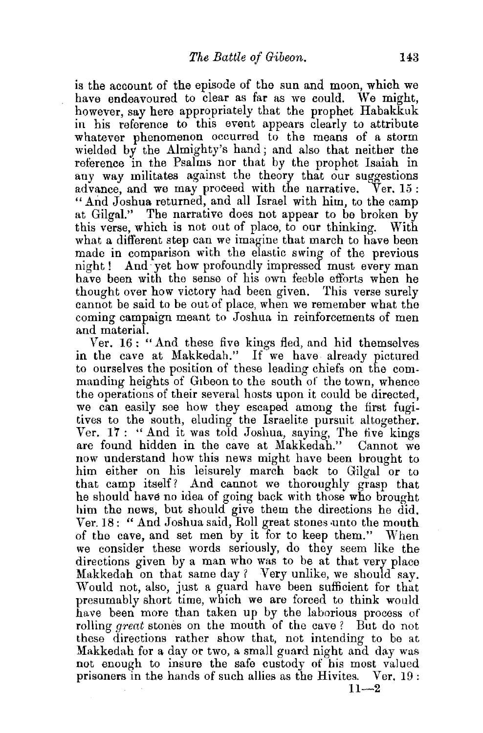is the account of the episode of the sun and moon, which we have endeavoured to clear as far as we could. We might, however, say here appropriately that the prophet Habakkuk in his reference to this event appears clearly to attribute whatever phenomenon occurred to the means of a storm wielded by the Almighty's hand; and also that neither the reference in the Psalms nor that by the prophet Isaiah in any way militates against the theory that our suggestions advance, and we may proceed with the narrative. Ver. 15: "And Joshua returned, and all Israel with him, to the camp at Gilgal." The narrative does not appear to be broken by this verse, which is not out of place, to our thinking. With what a different step can we imagine that march to have been made in comparison with the elastic swing of the previous night ! And· yet how profoundly impressed must every man have been with the sense of his own feeble efforts when he thought over how victory had been given. This verse surely cannot be said to be out of place, when we remember what the coming campaign meant to Joshua in reinforcements of men and material.

Ver. 16: "And these five kings fied, and hid themselves in the cave at Makkedah." If we have already pictured to ourselves the position of these leading chiefs on the commanding heights of Glbeon to the south of the town, whence the operations of their several hosts upon it could be directed, we can easily see how they escaped among the first fugitives to the south, eluding the Israelite pursuit altogether. Ver. 17: "And it was told Joshua, saying, The five kings are found hidden in the cave at Makkedah." Cannot we now understand how this news might have been brought to him either on his leisurely march back to Gilgal or to that camp itself? And cannot we thoroughly grasp that he should have no idea of going back with those who brought him the news, but should give them the directions he did. Ver.  $18:$  "And Joshua said, Roll great stones unto the mouth of the cave, and set men by it for to keep them." When we consider these words seriously, do they seem like the directions given by a man who was to be at that very place Makkedah on that same day? Very unlike, we should say. Would not, also, just a guard have been sufficient for that presumably short time, which we are forced to think would have been more than taken up by the laborious process of rolling *great* stones on the mouth of the cave ? But do not these directions rather show that, not intending to be at Makkedah for a day or two, a small guard night and day was not enough to insure the safe custody of his most valued prisoners in the hands of such allies as the Hivites. Ver. 19 :  $11 - 2$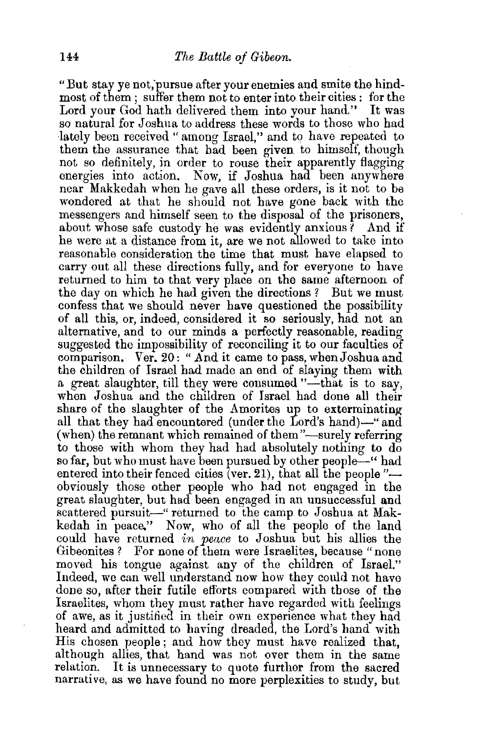"But stay ye not;pursue after your enemies and smite the hindmost of them ; suffer them not to enter into their cities: for the Lord your God hath delivered them into your hand." It was so natural for Joshua to address these words to those who had lately been received " among Israel," and to have repeated to them the assurance that had been given to himself, though not so definitely, in order to rouse their apparently flagging energies into action. Now, if Joshua had been anywhere near Makkedah when he gave all these orders, is it not to be wondered at that he should not have gone back with the messengers and himself seen to the disposal of the prisoners, about whose safe custody he was evidently anxious ? And if he were at a distance from it, are we not allowed to take into reasonable consideration the time that must have elapsed to carry out all these directions fully, and for everyone to have returned to him to that very place on the same afternoon of the day on which he had given the directions? But we must confess that we should never have questioned the possibility of all this, or, indeed, considered it so seriously, had not an alternative, and to our minds a perfectly reasonable, reading suggested the impossibility of reconciling it to our faculties of comparison. Ver. 20: "And it came to pass, when Joshua and the children of Israel had made an end of slaying them with a great slaughter, till they were consumed "----that is to say, when Joshua and the children of Israel had done all their share of the slaughter of the Amorites up to exterminating all that they had encountered (under the Lord's hand)—" and (when) the remnant which remained of them"-surely referring to those with whom they had had absolutely nothing to do so far, but who must have been pursued by other people—" had entered into their fenced cities (ver. 21), that all the people  $"$  obviously those other people who had not engaged in the great slaughter, but had been engaged in an unsuccessful and scattered pursuit-" returned to the camp to Joshua at Makkedah in peace." Now, who of all the people of the land could have returned *in peace* to Joshua but his allies the Gibeonites ? For none of them were Israelites, because "none moved his tongue against any of the children of Israel." Indeed, we can well understand now how they could not have done so, after their futile efforts compared with those of the Israelites, whom they must rather have regarded with feelings of awe, as it justified in their own experience what they had heard and admitted to having dreaded, the Lord's hand with His chosen people; and how they must have realized that, although allies, that hand was not over them in the same relation. It is unnecessary to quote further from the sacred narrative, as we have found no more perplexities to study, but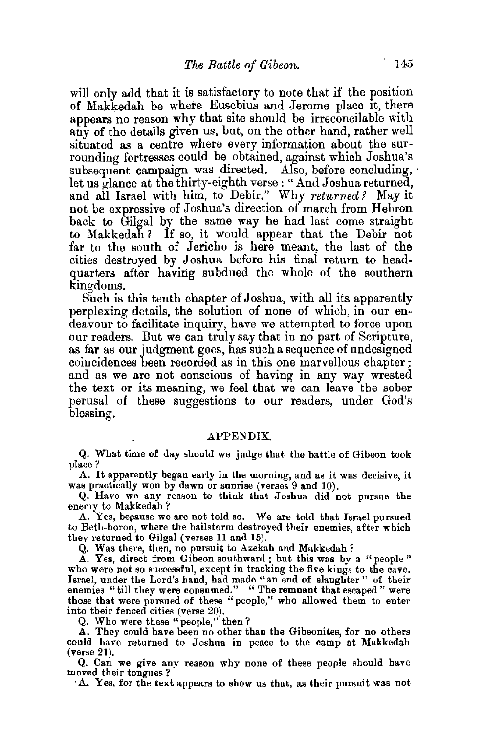will only add that it is satisfactory to note that if the position of Makkedah be where Eusebius and Jerome place it, there appears no reason why that site should be irreconcilable with any of the details given us, but, on the other hand, rather well situated as a centre where every information about the surrounding fortresses could be obtained, against which Joshua's subsequent campaign was directed. Also, before concluding, let us glance at the thirty-eighth verse : "And Joshua returned, and all Israel with him, to Debir." Why *returned?* May it not be expressive of Joshua's direction of march from Hebron back to Gilgal by the same way he had last come straight to Makkedah? If so, it would appear that the Debir not far to the south of Jericho is here meant, the last of the cities destroyed by Joshua before his final return to headquarters after having subdued the whole of the southern kingdoms.

Such is this tenth chapter of Joshua, with all its apparently perplexing details, the solution of none of which, in our endeavour to facilitate inquiry, have we attempted to force upon our readers. But we can truly say that in no part of Scripture, as far as our judgment goes, has such a sequence of undesigned coincidences been recorded as in this one marvellous chapter ; and as we are not conscious of having in any way wrested the text or its meaning, we feel that we can leave the sober perusal of these suggestions to our readers, under God's blessing.

## APPENDIX.

Q. What time of day should we judge that the battle of Gibeon took place?

A. It apparently began early in the morning, and as it was decisive, it was practically won by dawn or sunrise (verses 9 and 10).

Q. Have we any reason to think that Joshua did not pursue the enemy to Makkedah?

A. Yes, because we are not told so. We are told that Israel pursued to Beth-boron, where the hailstorm destroyed their enemies, after which thev returned to Gilgal (verses 11 and 15).

Q. Was there, then, no pursuit to Azekah and Makkedah?

A. Yes, direct from Gibeon southward ; but this was by a " people " who were not so successful, except in tracking the five kings to the cave. Israel, under the Lord's band, had made "an end of slaughter" of their enemies "till they were consumed." " The remnant that escaped" were those that were pursued of these "people," who allowed them to enter into their fenced cities (verse 20).

Q. Who were these "people," then?

A. They could have been no other than the Gibeonites, for no others could have returned to Joshua in peace to the camp at Makkedah (verse 21).

Q. Can we give any reason why none of these people should have moved their tongues ?

·A. Yes, for the text appears to show us that, as their pursuit was not